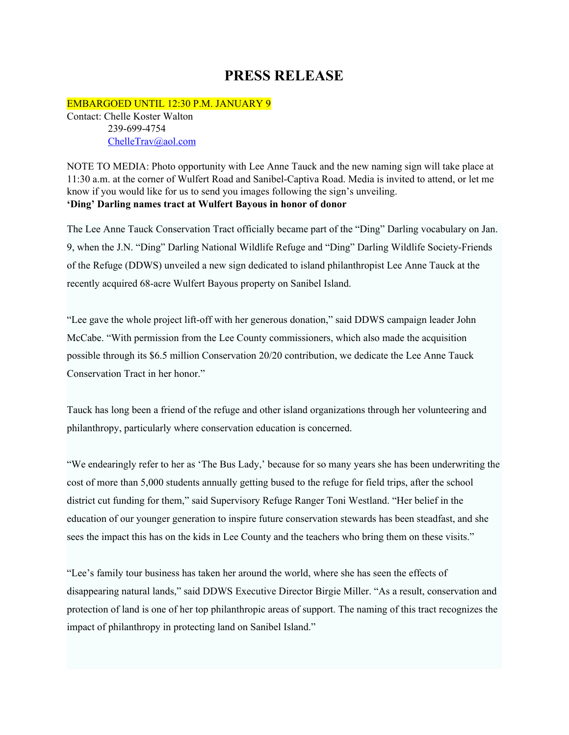## **PRESS RELEASE**

EMBARGOED UNTIL 12:30 P.M. JANUARY 9 Contact: Chelle Koster Walton 239-699-4754 [ChelleTrav@aol.com](mailto:ChelleTrav@aol.com)

NOTE TO MEDIA: Photo opportunity with Lee Anne Tauck and the new naming sign will take place at 11:30 a.m. at the corner of Wulfert Road and Sanibel-Captiva Road. Media is invited to attend, or let me know if you would like for us to send you images following the sign's unveiling. **'Ding' Darling names tract at Wulfert Bayous in honor of donor**

The Lee Anne Tauck Conservation Tract officially became part of the "Ding" Darling vocabulary on Jan. 9, when the J.N. "Ding" Darling National Wildlife Refuge and "Ding" Darling Wildlife Society-Friends of the Refuge (DDWS) unveiled a new sign dedicated to island philanthropist Lee Anne Tauck at the recently acquired 68-acre Wulfert Bayous property on Sanibel Island.

"Lee gave the whole project lift-off with her generous donation," said DDWS campaign leader John McCabe. "With permission from the Lee County commissioners, which also made the acquisition possible through its \$6.5 million Conservation 20/20 contribution, we dedicate the Lee Anne Tauck Conservation Tract in her honor."

Tauck has long been a friend of the refuge and other island organizations through her volunteering and philanthropy, particularly where conservation education is concerned.

"We endearingly refer to her as 'The Bus Lady,' because for so many years she has been underwriting the cost of more than 5,000 students annually getting bused to the refuge for field trips, after the school district cut funding for them," said Supervisory Refuge Ranger Toni Westland. "Her belief in the education of our younger generation to inspire future conservation stewards has been steadfast, and she sees the impact this has on the kids in Lee County and the teachers who bring them on these visits."

"Lee's family tour business has taken her around the world, where she has seen the effects of disappearing natural lands," said DDWS Executive Director Birgie Miller. "As a result, conservation and protection of land is one of her top philanthropic areas of support. The naming of this tract recognizes the impact of philanthropy in protecting land on Sanibel Island."